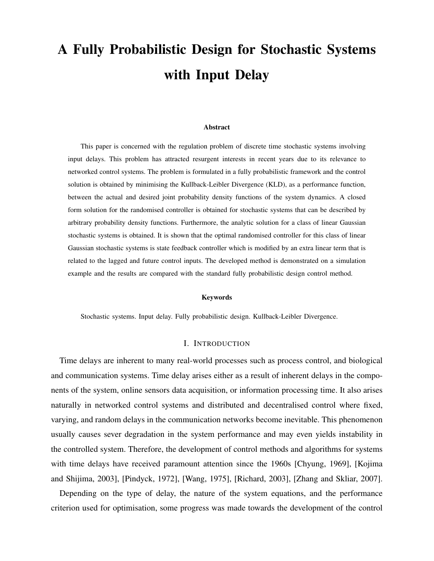# A Fully Probabilistic Design for Stochastic Systems with Input Delay

#### Abstract

This paper is concerned with the regulation problem of discrete time stochastic systems involving input delays. This problem has attracted resurgent interests in recent years due to its relevance to networked control systems. The problem is formulated in a fully probabilistic framework and the control solution is obtained by minimising the Kullback-Leibler Divergence (KLD), as a performance function, between the actual and desired joint probability density functions of the system dynamics. A closed form solution for the randomised controller is obtained for stochastic systems that can be described by arbitrary probability density functions. Furthermore, the analytic solution for a class of linear Gaussian stochastic systems is obtained. It is shown that the optimal randomised controller for this class of linear Gaussian stochastic systems is state feedback controller which is modified by an extra linear term that is related to the lagged and future control inputs. The developed method is demonstrated on a simulation example and the results are compared with the standard fully probabilistic design control method.

#### Keywords

Stochastic systems. Input delay. Fully probabilistic design. Kullback-Leibler Divergence.

### I. INTRODUCTION

Time delays are inherent to many real-world processes such as process control, and biological and communication systems. Time delay arises either as a result of inherent delays in the components of the system, online sensors data acquisition, or information processing time. It also arises naturally in networked control systems and distributed and decentralised control where fixed, varying, and random delays in the communication networks become inevitable. This phenomenon usually causes sever degradation in the system performance and may even yields instability in the controlled system. Therefore, the development of control methods and algorithms for systems with time delays have received paramount attention since the 1960s [Chyung, 1969], [Kojima and Shijima, 2003], [Pindyck, 1972], [Wang, 1975], [Richard, 2003], [Zhang and Skliar, 2007].

Depending on the type of delay, the nature of the system equations, and the performance criterion used for optimisation, some progress was made towards the development of the control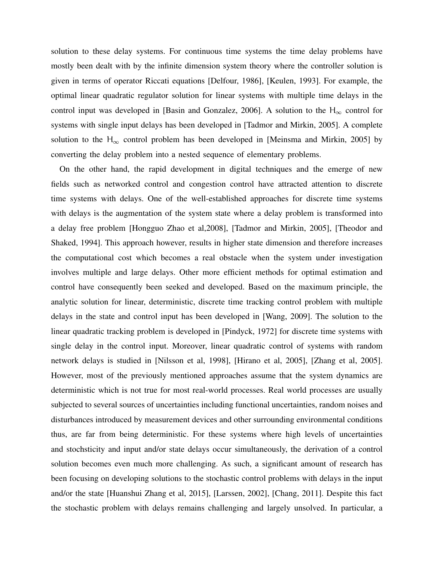solution to these delay systems. For continuous time systems the time delay problems have mostly been dealt with by the infinite dimension system theory where the controller solution is given in terms of operator Riccati equations [Delfour, 1986], [Keulen, 1993]. For example, the optimal linear quadratic regulator solution for linear systems with multiple time delays in the control input was developed in [Basin and Gonzalez, 2006]. A solution to the  $H_{\infty}$  control for systems with single input delays has been developed in [Tadmor and Mirkin, 2005]. A complete solution to the  $H_{\infty}$  control problem has been developed in [Meinsma and Mirkin, 2005] by converting the delay problem into a nested sequence of elementary problems.

On the other hand, the rapid development in digital techniques and the emerge of new fields such as networked control and congestion control have attracted attention to discrete time systems with delays. One of the well-established approaches for discrete time systems with delays is the augmentation of the system state where a delay problem is transformed into a delay free problem [Hongguo Zhao et al,2008], [Tadmor and Mirkin, 2005], [Theodor and Shaked, 1994]. This approach however, results in higher state dimension and therefore increases the computational cost which becomes a real obstacle when the system under investigation involves multiple and large delays. Other more efficient methods for optimal estimation and control have consequently been seeked and developed. Based on the maximum principle, the analytic solution for linear, deterministic, discrete time tracking control problem with multiple delays in the state and control input has been developed in [Wang, 2009]. The solution to the linear quadratic tracking problem is developed in [Pindyck, 1972] for discrete time systems with single delay in the control input. Moreover, linear quadratic control of systems with random network delays is studied in [Nilsson et al, 1998], [Hirano et al, 2005], [Zhang et al, 2005]. However, most of the previously mentioned approaches assume that the system dynamics are deterministic which is not true for most real-world processes. Real world processes are usually subjected to several sources of uncertainties including functional uncertainties, random noises and disturbances introduced by measurement devices and other surrounding environmental conditions thus, are far from being deterministic. For these systems where high levels of uncertainties and stochsticity and input and/or state delays occur simultaneously, the derivation of a control solution becomes even much more challenging. As such, a significant amount of research has been focusing on developing solutions to the stochastic control problems with delays in the input and/or the state [Huanshui Zhang et al, 2015], [Larssen, 2002], [Chang, 2011]. Despite this fact the stochastic problem with delays remains challenging and largely unsolved. In particular, a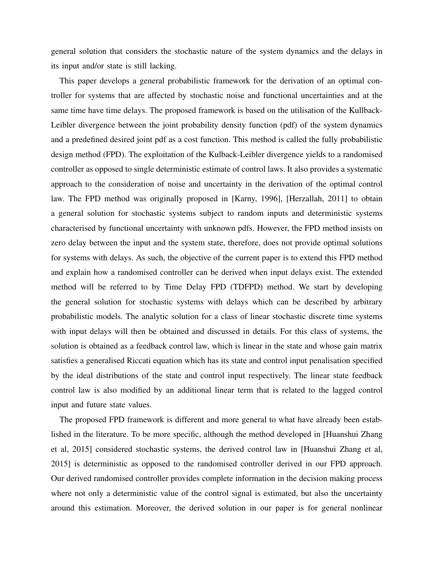general solution that considers the stochastic nature of the system dynamics and the delays in its input and/or state is still lacking.

This paper develops a general probabilistic framework for the derivation of an optimal controller for systems that are affected by stochastic noise and functional uncertainties and at the same time have time delays. The proposed framework is based on the utilisation of the Kullback-Leibler divergence between the joint probability density function (pdf) of the system dynamics and a predefined desired joint pdf as a cost function. This method is called the fully probabilistic design method (FPD). The exploitation of the Kulback-Leibler divergence yields to a randomised controller as opposed to single deterministic estimate of control laws. It also provides a systematic approach to the consideration of noise and uncertainty in the derivation of the optimal control law. The FPD method was originally proposed in [Karny, 1996], [Herzallah, 2011] to obtain a general solution for stochastic systems subject to random inputs and deterministic systems characterised by functional uncertainty with unknown pdfs. However, the FPD method insists on zero delay between the input and the system state, therefore, does not provide optimal solutions for systems with delays. As such, the objective of the current paper is to extend this FPD method and explain how a randomised controller can be derived when input delays exist. The extended method will be referred to by Time Delay FPD (TDFPD) method. We start by developing the general solution for stochastic systems with delays which can be described by arbitrary probabilistic models. The analytic solution for a class of linear stochastic discrete time systems with input delays will then be obtained and discussed in details. For this class of systems, the solution is obtained as a feedback control law, which is linear in the state and whose gain matrix satisfies a generalised Riccati equation which has its state and control input penalisation specified by the ideal distributions of the state and control input respectively. The linear state feedback control law is also modified by an additional linear term that is related to the lagged control input and future state values.

The proposed FPD framework is different and more general to what have already been established in the literature. To be more specific, although the method developed in [Huanshui Zhang et al, 2015] considered stochastic systems, the derived control law in [Huanshui Zhang et al, 2015] is deterministic as opposed to the randomised controller derived in our FPD approach. Our derived randomised controller provides complete information in the decision making process where not only a deterministic value of the control signal is estimated, but also the uncertainty around this estimation. Moreover, the derived solution in our paper is for general nonlinear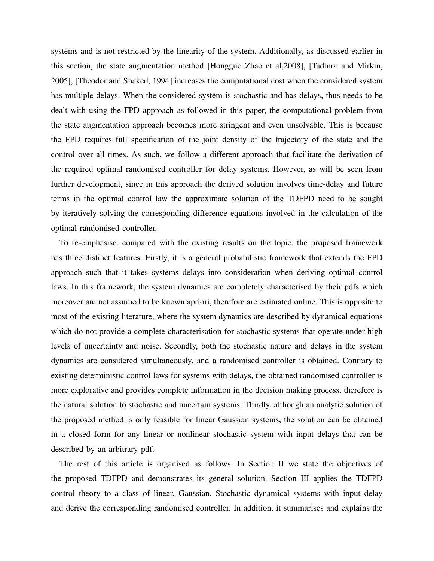systems and is not restricted by the linearity of the system. Additionally, as discussed earlier in this section, the state augmentation method [Hongguo Zhao et al,2008], [Tadmor and Mirkin, 2005], [Theodor and Shaked, 1994] increases the computational cost when the considered system has multiple delays. When the considered system is stochastic and has delays, thus needs to be dealt with using the FPD approach as followed in this paper, the computational problem from the state augmentation approach becomes more stringent and even unsolvable. This is because the FPD requires full specification of the joint density of the trajectory of the state and the control over all times. As such, we follow a different approach that facilitate the derivation of the required optimal randomised controller for delay systems. However, as will be seen from further development, since in this approach the derived solution involves time-delay and future terms in the optimal control law the approximate solution of the TDFPD need to be sought by iteratively solving the corresponding difference equations involved in the calculation of the optimal randomised controller.

To re-emphasise, compared with the existing results on the topic, the proposed framework has three distinct features. Firstly, it is a general probabilistic framework that extends the FPD approach such that it takes systems delays into consideration when deriving optimal control laws. In this framework, the system dynamics are completely characterised by their pdfs which moreover are not assumed to be known apriori, therefore are estimated online. This is opposite to most of the existing literature, where the system dynamics are described by dynamical equations which do not provide a complete characterisation for stochastic systems that operate under high levels of uncertainty and noise. Secondly, both the stochastic nature and delays in the system dynamics are considered simultaneously, and a randomised controller is obtained. Contrary to existing deterministic control laws for systems with delays, the obtained randomised controller is more explorative and provides complete information in the decision making process, therefore is the natural solution to stochastic and uncertain systems. Thirdly, although an analytic solution of the proposed method is only feasible for linear Gaussian systems, the solution can be obtained in a closed form for any linear or nonlinear stochastic system with input delays that can be described by an arbitrary pdf.

The rest of this article is organised as follows. In Section II we state the objectives of the proposed TDFPD and demonstrates its general solution. Section III applies the TDFPD control theory to a class of linear, Gaussian, Stochastic dynamical systems with input delay and derive the corresponding randomised controller. In addition, it summarises and explains the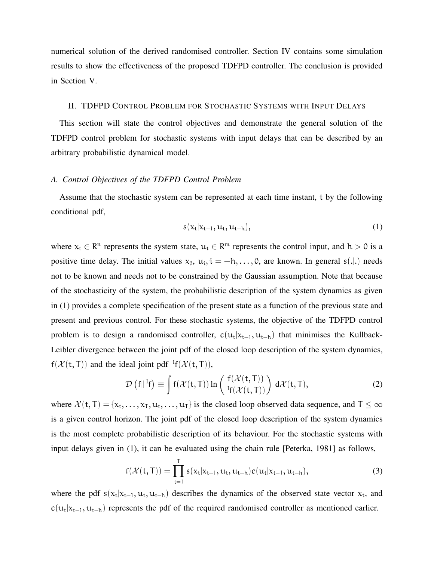numerical solution of the derived randomised controller. Section IV contains some simulation results to show the effectiveness of the proposed TDFPD controller. The conclusion is provided in Section V.

# II. TDFPD CONTROL PROBLEM FOR STOCHASTIC SYSTEMS WITH INPUT DELAYS

This section will state the control objectives and demonstrate the general solution of the TDFPD control problem for stochastic systems with input delays that can be described by an arbitrary probabilistic dynamical model.

# *A. Control Objectives of the TDFPD Control Problem*

Assume that the stochastic system can be represented at each time instant, t by the following conditional pdf,

$$
s(x_t|x_{t-1},u_t,u_{t-h}), \qquad (1)
$$

where  $x_t \in \mathbb{R}^n$  represents the system state,  $u_t \in \mathbb{R}^m$  represents the control input, and  $h > 0$  is a positive time delay. The initial values  $x_0$ ,  $u_i$ ,  $i = -h$ , ..., 0, are known. In general s(...) needs not to be known and needs not to be constrained by the Gaussian assumption. Note that because of the stochasticity of the system, the probabilistic description of the system dynamics as given in (1) provides a complete specification of the present state as a function of the previous state and present and previous control. For these stochastic systems, the objective of the TDFPD control problem is to design a randomised controller,  $c(u_t|x_{t-1}, u_{t-h})$  that minimises the Kullback-Leibler divergence between the joint pdf of the closed loop description of the system dynamics,  $f(\mathcal{X}(t, T))$  and the ideal joint pdf  $F(f(\mathcal{X}(t, T)),$ 

$$
\mathcal{D}\left(f\right|\left|^{I}f\right) \equiv \int f(\mathcal{X}(t,T)) \ln\left(\frac{f(\mathcal{X}(t,T))}{^{I}f(\mathcal{X}(t,T))}\right) d\mathcal{X}(t,T), \tag{2}
$$

where  $\mathcal{X}(\mathsf{t},\mathsf{T}) = \{x_{\mathsf{t}},\ldots,x_{\mathsf{T}},u_{\mathsf{t}},\ldots,u_{\mathsf{T}}\}$  is the closed loop observed data sequence, and  $\mathsf{T} \leq \infty$ is a given control horizon. The joint pdf of the closed loop description of the system dynamics is the most complete probabilistic description of its behaviour. For the stochastic systems with input delays given in (1), it can be evaluated using the chain rule [Peterka, 1981] as follows,

$$
f(\mathcal{X}(t,T)) = \prod_{t=1}^{T} s(x_t | x_{t-1}, u_t, u_{t-h}) c(u_t | x_{t-1}, u_{t-h}),
$$
\n(3)

where the pdf  $s(x_t|x_{t-1}, u_t, u_{t-h})$  describes the dynamics of the observed state vector  $x_t$ , and  $c(u_t|x_{t-1}, u_{t-h})$  represents the pdf of the required randomised controller as mentioned earlier.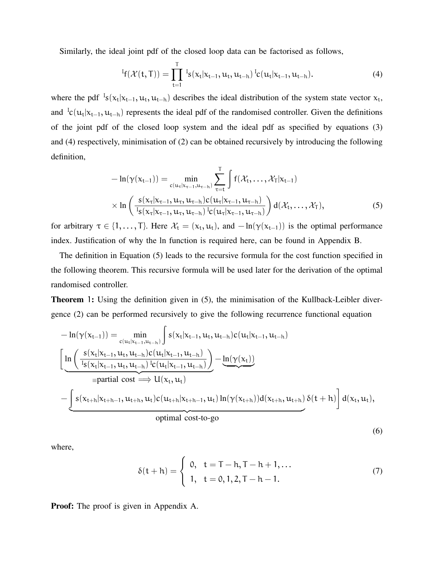Similarly, the ideal joint pdf of the closed loop data can be factorised as follows,

$$
{}^{I}f(\mathcal{X}(t,T)) = \prod_{t=1}^{T} {}^{I}s(x_{t}|x_{t-1}, u_{t}, u_{t-h}) {}^{I}c(u_{t}|x_{t-1}, u_{t-h}). \qquad (4)
$$

where the pdf  $\frac{1}{s}(x_t|x_{t-1}, u_t, u_{t-h})$  describes the ideal distribution of the system state vector  $x_t$ , and  ${}^1c(u_t|x_{t-1}, u_{t-h})$  represents the ideal pdf of the randomised controller. Given the definitions of the joint pdf of the closed loop system and the ideal pdf as specified by equations (3) and (4) respectively, minimisation of (2) can be obtained recursively by introducing the following definition,

$$
-\ln(\gamma(x_{t-1})) = \min_{c(u_{\tau}|x_{\tau-1}, u_{\tau-h})} \sum_{\tau=t}^{T} \int f(\mathcal{X}_t, \dots, \mathcal{X}_T | x_{t-1})
$$
  
 
$$
\times \ln\left(\frac{s(x_{\tau}|x_{\tau-1}, u_{\tau}, u_{\tau-h})c(u_{\tau}|x_{\tau-1}, u_{\tau-h})}{s(x_{\tau}|x_{\tau-1}, u_{\tau,h})c(u_{\tau}|x_{\tau-1}, u_{\tau-h})}\right) d(\mathcal{X}_t, \dots, \mathcal{X}_T),
$$
 (5)

for arbitrary  $\tau \in \{1, \ldots, T\}$ . Here  $\mathcal{X}_t = (x_t, u_t)$ , and  $-\ln(\gamma(x_{t-1}))$  is the optimal performance index. Justification of why the ln function is required here, can be found in Appendix B.

The definition in Equation (5) leads to the recursive formula for the cost function specified in the following theorem. This recursive formula will be used later for the derivation of the optimal randomised controller.

Theorem 1: Using the definition given in (5), the minimisation of the Kullback-Leibler divergence (2) can be performed recursively to give the following recurrence functional equation

$$
-\ln(\gamma(x_{t-1})) = \min_{c(u_t|x_{t-1},u_{t-h})} \int s(x_t|x_{t-1},u_t,u_{t-h})c(u_t|x_{t-1},u_{t-h})
$$
\n
$$
\left[ \underbrace{\ln \left( \frac{s(x_t|x_{t-1},u_t,u_{t-h})c(u_t|x_{t-1},u_{t-h})}{\frac{I_s(x_t|x_{t-1},u_t,u_{t-h})}{\frac{I_c(u_t|x_{t-1},u_t)}{ \sum_{t=1}^{t-1} \alpha_t}} - \underbrace{\ln(\gamma(x_t))}_{=partial \text{ and cost}} \right) - \underbrace{\ln(\gamma(x_t))}_{=partial \text{ and cost}} \right]
$$
\n
$$
-\underbrace{\int s(x_{t+h}|x_{t+h-1},u_{t+h},u_t)c(u_{t+h}|x_{t+h-1},u_t) \ln(\gamma(x_{t+h}))d(x_{t+h},u_{t+h}) \delta(t+h)}_{\text{optimal cost-to-go}} d(x_t,u_t),
$$

(6)

where,

$$
\delta(t+h) = \begin{cases} 0, & t = T-h, T-h+1,... \\ 1, & t = 0, 1, 2, T-h-1. \end{cases}
$$
 (7)

Proof: The proof is given in Appendix A.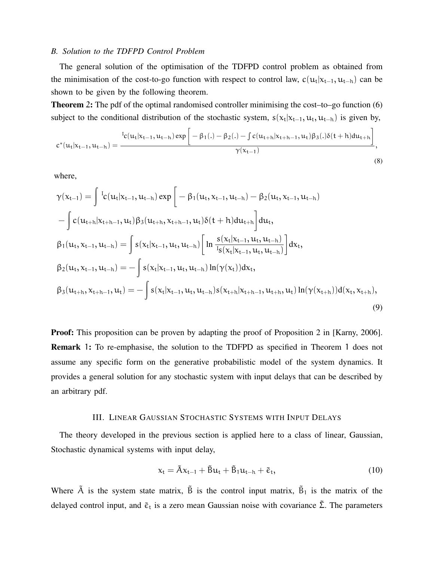# *B. Solution to the TDFPD Control Problem*

The general solution of the optimisation of the TDFPD control problem as obtained from the minimisation of the cost-to-go function with respect to control law,  $c(u_t|x_{t-1}, u_{t-h})$  can be shown to be given by the following theorem.

Theorem 2: The pdf of the optimal randomised controller minimising the cost–to–go function (6) subject to the conditional distribution of the stochastic system,  $s(x_t|x_{t-1}, u_t, u_{t-h})$  is given by,

$$
c^*(u_t|x_{t-1}, u_{t-h}) = \frac{^{I_c}(u_t|x_{t-1}, u_{t-h}) \exp\left[-\beta_1(.) - \beta_2(.) - \int c(u_{t+h}|x_{t+h-1}, u_t) \beta_3(.) \delta(t+h) du_{t+h}\right]}{\gamma(x_{t-1})},
$$
\n(8)

where,

$$
\gamma(x_{t-1}) = \int t_{c}(u_{t}|x_{t-1}, u_{t-h}) \exp\left[-\beta_{1}(u_{t}, x_{t-1}, u_{t-h}) - \beta_{2}(u_{t}, x_{t-1}, u_{t-h})\right]
$$

$$
-\int c(u_{t+h}|x_{t+h-1}, u_{t})\beta_{3}(u_{t+h}, x_{t+h-1}, u_{t})\delta(t+h) du_{t+h}\right] du_{t},
$$

$$
\beta_{1}(u_{t}, x_{t-1}, u_{t-h}) = \int s(x_{t}|x_{t-1}, u_{t}, u_{t-h})\left[\ln \frac{s(x_{t}|x_{t-1}, u_{t}, u_{t-h})}{s(x_{t}|x_{t-1}, u_{t}, u_{t-h})}\right]dx_{t},
$$

$$
\beta_{2}(u_{t}, x_{t-1}, u_{t-h}) = -\int s(x_{t}|x_{t-1}, u_{t}, u_{t-h})\ln(\gamma(x_{t}))dx_{t},
$$

$$
\beta_{3}(u_{t+h}, x_{t+h-1}, u_{t}) = -\int s(x_{t}|x_{t-1}, u_{t}, u_{t-h})s(x_{t+h}|x_{t+h-1}, u_{t+h}, u_{t})\ln(\gamma(x_{t+h}))d(x_{t}, x_{t+h}),
$$
\n(9)

**Proof:** This proposition can be proven by adapting the proof of Proposition 2 in [Karny, 2006]. Remark 1: To re-emphasise, the solution to the TDFPD as specified in Theorem 1 does not assume any specific form on the generative probabilistic model of the system dynamics. It provides a general solution for any stochastic system with input delays that can be described by an arbitrary pdf.

## III. LINEAR GAUSSIAN STOCHASTIC SYSTEMS WITH INPUT DELAYS

The theory developed in the previous section is applied here to a class of linear, Gaussian, Stochastic dynamical systems with input delay,

$$
x_t = \tilde{A}x_{t-1} + \tilde{B}u_t + \tilde{B}_1u_{t-h} + \tilde{\varepsilon}_t, \tag{10}
$$

Where  $\tilde{A}$  is the system state matrix,  $\tilde{B}$  is the control input matrix,  $\tilde{B}_1$  is the matrix of the delayed control input, and  $\tilde{\epsilon}_t$  is a zero mean Gaussian noise with covariance  $\tilde{\Sigma}$ . The parameters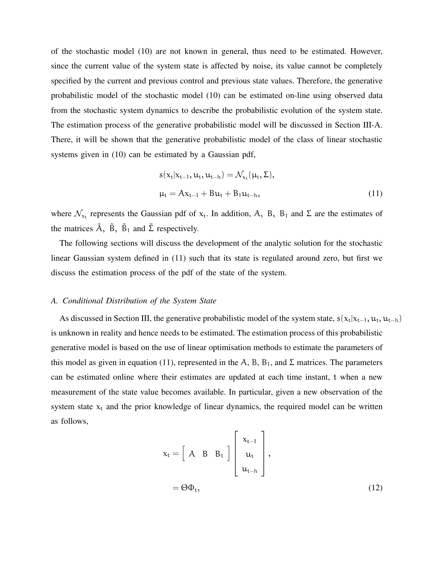of the stochastic model (10) are not known in general, thus need to be estimated. However, since the current value of the system state is affected by noise, its value cannot be completely specified by the current and previous control and previous state values. Therefore, the generative probabilistic model of the stochastic model (10) can be estimated on-line using observed data from the stochastic system dynamics to describe the probabilistic evolution of the system state. The estimation process of the generative probabilistic model will be discussed in Section III-A. There, it will be shown that the generative probabilistic model of the class of linear stochastic systems given in (10) can be estimated by a Gaussian pdf,

$$
s(x_{t}|x_{t-1}, u_{t}, u_{t-h}) = \mathcal{N}_{x_{t}}(\mu_{t}, \Sigma),
$$
  

$$
\mu_{t} = Ax_{t-1} + Bu_{t} + B_{1}u_{t-h},
$$
 (11)

where  $\mathcal{N}_{x_t}$  represents the Gaussian pdf of  $x_t$ . In addition, A, B, B<sub>1</sub> and  $\Sigma$  are the estimates of the matrices  $\tilde{A}$ ,  $\tilde{B}$ ,  $\tilde{B}$ <sub>1</sub> and  $\tilde{\Sigma}$  respectively.

The following sections will discuss the development of the analytic solution for the stochastic linear Gaussian system defined in (11) such that its state is regulated around zero, but first we discuss the estimation process of the pdf of the state of the system.

# *A. Conditional Distribution of the System State*

As discussed in Section III, the generative probabilistic model of the system state,  $s(x_t|x_{t-1}, u_t, u_{t-h})$ is unknown in reality and hence needs to be estimated. The estimation process of this probabilistic generative model is based on the use of linear optimisation methods to estimate the parameters of this model as given in equation (11), represented in the A, B, B<sub>1</sub>, and  $\Sigma$  matrices. The parameters can be estimated online where their estimates are updated at each time instant, t when a new measurement of the state value becomes available. In particular, given a new observation of the system state  $x_t$  and the prior knowledge of linear dynamics, the required model can be written as follows,

$$
x_{t} = \begin{bmatrix} A & B & B_1 \end{bmatrix} \begin{bmatrix} x_{t-1} \\ u_{t} \\ u_{t-h} \end{bmatrix},
$$
  
=  $\Theta \Phi_t$ , (12)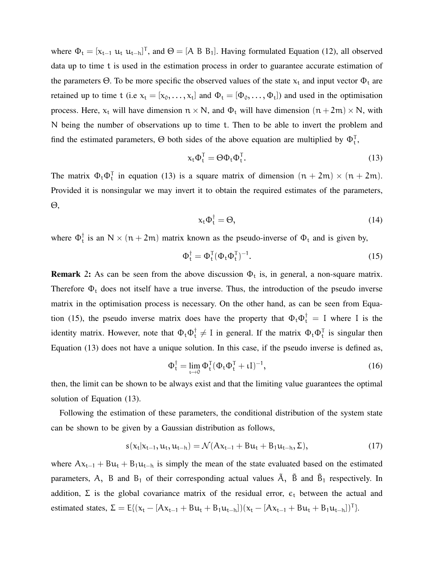where  $\Phi_t = [x_{t-1} \ u_t \ u_{t-h}]^T$ , and  $\Theta = [A \ B \ B_1]$ . Having formulated Equation (12), all observed data up to time t is used in the estimation process in order to guarantee accurate estimation of the parameters  $\Theta$ . To be more specific the observed values of the state  $x_t$  and input vector  $\Phi_t$  are retained up to time t (i.e  $x_t = [x_0, \ldots, x_t]$  and  $\Phi_t = [\Phi_0, \ldots, \Phi_t]$ ) and used in the optimisation process. Here,  $x_t$  will have dimension  $n \times N$ , and  $\Phi_t$  will have dimension  $(n + 2m) \times N$ , with N being the number of observations up to time t. Then to be able to invert the problem and find the estimated parameters,  $\Theta$  both sides of the above equation are multiplied by  $\Phi_t^T$ ,

$$
\mathbf{x}_{t} \Phi_{t}^{\mathsf{T}} = \Theta \Phi_{t} \Phi_{t}^{\mathsf{T}}.
$$
\n(13)

The matrix  $\Phi_t \Phi_t^T$  in equation (13) is a square matrix of dimension  $(n + 2m) \times (n + 2m)$ . Provided it is nonsingular we may invert it to obtain the required estimates of the parameters, Θ,

$$
\mathbf{x}_{t} \Phi_{t}^{\dagger} = \Theta, \tag{14}
$$

where  $\Phi_t^{\dagger}$  $_{t}^{\dagger}$  is an N  $\times$  (n + 2m) matrix known as the pseudo-inverse of  $\Phi_{t}$  and is given by,

$$
\Phi_t^{\dagger} = \Phi_t^{\mathsf{T}} (\Phi_t \Phi_t^{\mathsf{T}})^{-1}.
$$
\n(15)

**Remark** 2: As can be seen from the above discussion  $\Phi_t$  is, in general, a non-square matrix. Therefore  $\Phi_t$  does not itself have a true inverse. Thus, the introduction of the pseudo inverse matrix in the optimisation process is necessary. On the other hand, as can be seen from Equation (15), the pseudo inverse matrix does have the property that  $\Phi_t \Phi_t^{\dagger} = I$  where I is the identity matrix. However, note that  $\Phi_t \Phi_t^{\dagger} \neq I$  in general. If the matrix  $\Phi_t \Phi_t^{\dagger}$  is singular then Equation (13) does not have a unique solution. In this case, if the pseudo inverse is defined as,

$$
\Phi_t^{\dagger} = \lim_{t \to 0} \Phi_t^{\mathsf{T}} (\Phi_t \Phi_t^{\mathsf{T}} + tI)^{-1}, \tag{16}
$$

then, the limit can be shown to be always exist and that the limiting value guarantees the optimal solution of Equation (13).

Following the estimation of these parameters, the conditional distribution of the system state can be shown to be given by a Gaussian distribution as follows,

$$
s(x_t|x_{t-1}, u_t, u_{t-h}) = \mathcal{N}(Ax_{t-1} + Bu_t + B_1u_{t-h}, \Sigma),
$$
\n(17)

where  $Ax_{t-1} + Bu_t + B_1u_{t-h}$  is simply the mean of the state evaluated based on the estimated parameters, A, B and B<sub>1</sub> of their corresponding actual values  $\tilde{A}$ ,  $\tilde{B}$  and  $\tilde{B}_1$  respectively. In addition,  $\Sigma$  is the global covariance matrix of the residual error,  $\epsilon_t$  between the actual and estimated states,  $\Sigma = E[(x_t - [Ax_{t-1} + Bu_t + B_1u_{t-h}]) (x_t - [Ax_{t-1} + Bu_t + B_1u_{t-h}])^T]$ .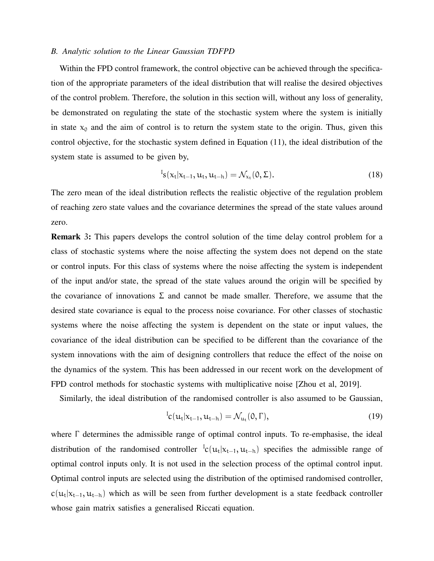# *B. Analytic solution to the Linear Gaussian TDFPD*

Within the FPD control framework, the control objective can be achieved through the specification of the appropriate parameters of the ideal distribution that will realise the desired objectives of the control problem. Therefore, the solution in this section will, without any loss of generality, be demonstrated on regulating the state of the stochastic system where the system is initially in state  $x_0$  and the aim of control is to return the system state to the origin. Thus, given this control objective, for the stochastic system defined in Equation (11), the ideal distribution of the system state is assumed to be given by,

$$
{}^{I}_{S}(\mathbf{x}_{t}|\mathbf{x}_{t-1},\mathbf{u}_{t},\mathbf{u}_{t-h})=\mathcal{N}_{\mathbf{x}_{t}}(0,\Sigma).
$$
 (18)

The zero mean of the ideal distribution reflects the realistic objective of the regulation problem of reaching zero state values and the covariance determines the spread of the state values around zero.

Remark 3: This papers develops the control solution of the time delay control problem for a class of stochastic systems where the noise affecting the system does not depend on the state or control inputs. For this class of systems where the noise affecting the system is independent of the input and/or state, the spread of the state values around the origin will be specified by the covariance of innovations  $\Sigma$  and cannot be made smaller. Therefore, we assume that the desired state covariance is equal to the process noise covariance. For other classes of stochastic systems where the noise affecting the system is dependent on the state or input values, the covariance of the ideal distribution can be specified to be different than the covariance of the system innovations with the aim of designing controllers that reduce the effect of the noise on the dynamics of the system. This has been addressed in our recent work on the development of FPD control methods for stochastic systems with multiplicative noise [Zhou et al, 2019].

Similarly, the ideal distribution of the randomised controller is also assumed to be Gaussian,

$$
{}^{I}c(u_{t}|x_{t-1},u_{t-h})=\mathcal{N}_{u_{t}}(0,\Gamma), \qquad (19)
$$

where Γ determines the admissible range of optimal control inputs. To re-emphasise, the ideal distribution of the randomised controller  ${}^{1}c(u_t|x_{t-1}, u_{t-h})$  specifies the admissible range of optimal control inputs only. It is not used in the selection process of the optimal control input. Optimal control inputs are selected using the distribution of the optimised randomised controller,  $c(u_t|x_{t-1}, u_{t-h})$  which as will be seen from further development is a state feedback controller whose gain matrix satisfies a generalised Riccati equation.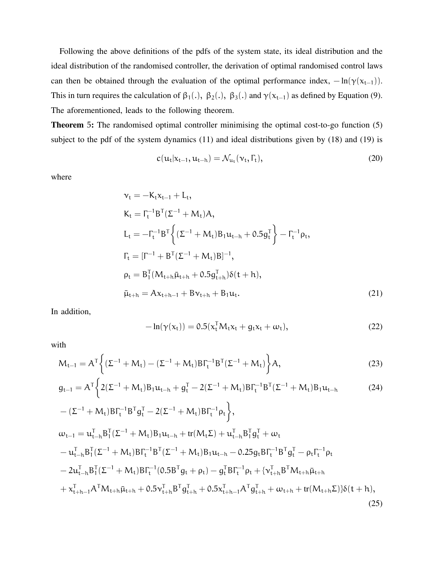Following the above definitions of the pdfs of the system state, its ideal distribution and the ideal distribution of the randomised controller, the derivation of optimal randomised control laws can then be obtained through the evaluation of the optimal performance index,  $-\ln(\gamma(x_{t-1}))$ . This in turn requires the calculation of  $\beta_1(.)$ ,  $\beta_2(.)$ ,  $\beta_3(.)$  and  $\gamma(x_{t-1})$  as defined by Equation (9). The aforementioned, leads to the following theorem.

Theorem 5: The randomised optimal controller minimising the optimal cost-to-go function (5) subject to the pdf of the system dynamics (11) and ideal distributions given by (18) and (19) is

$$
c(\mathbf{u}_t|\mathbf{x}_{t-1},\mathbf{u}_{t-h}) = \mathcal{N}_{\mathbf{u}_t}(\mathbf{v}_t,\Gamma_t),
$$
\n(20)

where

$$
\nu_{t} = -K_{t}x_{t-1} + L_{t},
$$
\n
$$
K_{t} = \Gamma_{t}^{-1}B^{T}(\Sigma^{-1} + M_{t})A,
$$
\n
$$
L_{t} = -\Gamma_{t}^{-1}B^{T}\left\{(\Sigma^{-1} + M_{t})B_{1}u_{t-h} + 0.5g_{t}^{T}\right\} - \Gamma_{t}^{-1}\rho_{t},
$$
\n
$$
\Gamma_{t} = [\Gamma^{-1} + B^{T}(\Sigma^{-1} + M_{t})B]^{-1},
$$
\n
$$
\rho_{t} = B_{1}^{T}(M_{t+h}\bar{\mu}_{t+h} + 0.5g_{t+h}^{T})\delta(t+h),
$$
\n
$$
\bar{\mu}_{t+h} = Ax_{t+h-1} + Bv_{t+h} + B_{1}u_{t}.
$$
\n(21)

In addition,

$$
-\ln(\gamma(x_t)) = 0.5(x_t^{\mathsf{T}} M_t x_t + g_t x_t + \omega_t),\tag{22}
$$

with

$$
M_{t-1} = A^{T} \left\{ (\Sigma^{-1} + M_{t}) - (\Sigma^{-1} + M_{t}) B \Gamma_{t}^{-1} B^{T} (\Sigma^{-1} + M_{t}) \right\} A, \tag{23}
$$

$$
g_{t-1} = A^{T} \Biggl\{ 2(\Sigma^{-1} + M_t) B_1 u_{t-h} + g_t^{T} - 2(\Sigma^{-1} + M_t) B F_t^{-1} B^{T} (\Sigma^{-1} + M_t) B_1 u_{t-h}
$$
(24)

$$
-(\Sigma^{-1} + M_t)B\Gamma_t^{-1}B^{T}g_t^{T} - 2(\Sigma^{-1} + M_t)B\Gamma_t^{-1}\rho_t),
$$
  
\n
$$
\omega_{t-1} = u_{t-h}^{T}B_{1}^{T}(\Sigma^{-1} + M_t)B_{1}u_{t-h} + tr(M_{t}\Sigma) + u_{t-h}^{T}B_{1}^{T}g_t^{T} + \omega_t
$$
  
\n
$$
- u_{t-h}^{T}B_{1}^{T}(\Sigma^{-1} + M_t)B\Gamma_t^{-1}B^{T}(\Sigma^{-1} + M_t)B_{1}u_{t-h} - 0.25g_tB\Gamma_t^{-1}B^{T}g_t^{T} - \rho_t\Gamma_t^{-1}\rho_t
$$
  
\n
$$
- 2u_{t-h}^{T}B_{1}^{T}(\Sigma^{-1} + M_t)B\Gamma_t^{-1}(0.5B^{T}g_t + \rho_t) - g_t^{T}B\Gamma_t^{-1}\rho_t + {\{\nu_{t+h}^{T}B^{T}M_{t+h}\bar{\mu}_{t+h}}\n+ \chi_{t+h-1}^{T}A^{T}M_{t+h}\bar{\mu}_{t+h} + 0.5\nu_{t+h}^{T}B^{T}g_{t+h}^{T} + 0.5\chi_{t+h-1}^{T}A^{T}g_{t+h}^{T} + \omega_{t+h} + tr(M_{t+h}\Sigma)\}\delta(t+h),
$$
\n(25)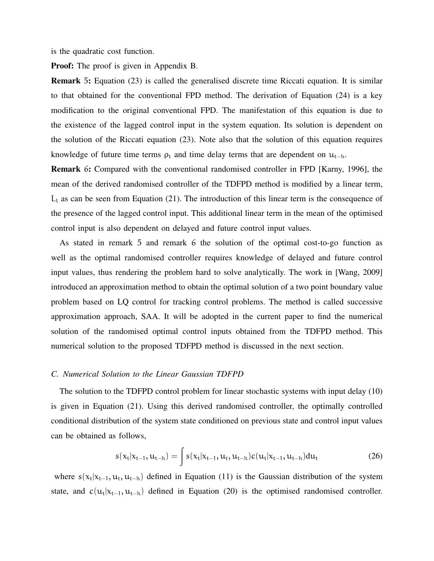is the quadratic cost function.

Proof: The proof is given in Appendix B.

Remark 5: Equation (23) is called the generalised discrete time Riccati equation. It is similar to that obtained for the conventional FPD method. The derivation of Equation (24) is a key modification to the original conventional FPD. The manifestation of this equation is due to the existence of the lagged control input in the system equation. Its solution is dependent on the solution of the Riccati equation (23). Note also that the solution of this equation requires knowledge of future time terms  $\rho_t$  and time delay terms that are dependent on  $u_{t-h}$ .

Remark 6: Compared with the conventional randomised controller in FPD [Karny, 1996], the mean of the derived randomised controller of the TDFPD method is modified by a linear term,  $L_t$  as can be seen from Equation (21). The introduction of this linear term is the consequence of the presence of the lagged control input. This additional linear term in the mean of the optimised control input is also dependent on delayed and future control input values.

As stated in remark 5 and remark 6 the solution of the optimal cost-to-go function as well as the optimal randomised controller requires knowledge of delayed and future control input values, thus rendering the problem hard to solve analytically. The work in [Wang, 2009] introduced an approximation method to obtain the optimal solution of a two point boundary value problem based on LQ control for tracking control problems. The method is called successive approximation approach, SAA. It will be adopted in the current paper to find the numerical solution of the randomised optimal control inputs obtained from the TDFPD method. This numerical solution to the proposed TDFPD method is discussed in the next section.

## *C. Numerical Solution to the Linear Gaussian TDFPD*

The solution to the TDFPD control problem for linear stochastic systems with input delay (10) is given in Equation (21). Using this derived randomised controller, the optimally controlled conditional distribution of the system state conditioned on previous state and control input values can be obtained as follows,

$$
s(x_t|x_{t-1}, u_{t-h}) = \int s(x_t|x_{t-1}, u_t, u_{t-h})c(u_t|x_{t-1}, u_{t-h})du_t
$$
\n(26)

where  $s(x_t|x_{t-1}, u_t, u_{t-h})$  defined in Equation (11) is the Gaussian distribution of the system state, and  $c(u_t|x_{t-1}, u_{t-h})$  defined in Equation (20) is the optimised randomised controller.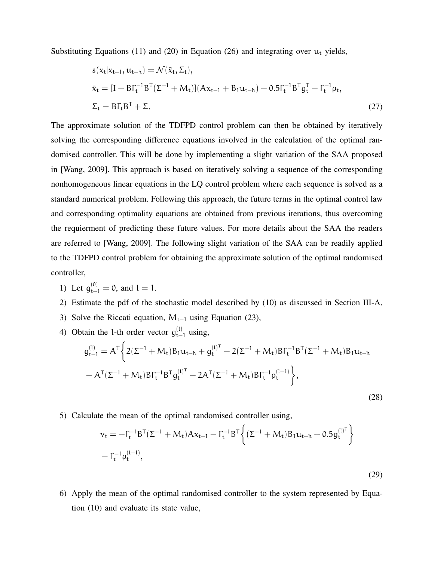Substituting Equations (11) and (20) in Equation (26) and integrating over  $u_t$  yields,

$$
s(x_t|x_{t-1}, u_{t-h}) = \mathcal{N}(\bar{x}_t, \Sigma_t),
$$
  
\n
$$
\bar{x}_t = [I - B\Gamma_t^{-1}B^T(\Sigma^{-1} + M_t)](Ax_{t-1} + B_1u_{t-h}) - 0.5\Gamma_t^{-1}B^Tg_t^T - \Gamma_t^{-1}\rho_t,
$$
  
\n
$$
\Sigma_t = B\Gamma_tB^T + \Sigma.
$$
\n(27)

The approximate solution of the TDFPD control problem can then be obtained by iteratively solving the corresponding difference equations involved in the calculation of the optimal randomised controller. This will be done by implementing a slight variation of the SAA proposed in [Wang, 2009]. This approach is based on iteratively solving a sequence of the corresponding nonhomogeneous linear equations in the LQ control problem where each sequence is solved as a standard numerical problem. Following this approach, the future terms in the optimal control law and corresponding optimality equations are obtained from previous iterations, thus overcoming the requierment of predicting these future values. For more details about the SAA the readers are referred to [Wang, 2009]. The following slight variation of the SAA can be readily applied to the TDFPD control problem for obtaining the approximate solution of the optimal randomised controller,

- 1) Let  $g_{t-1}^{(0)} = 0$ , and  $l = 1$ .
- 2) Estimate the pdf of the stochastic model described by (10) as discussed in Section III-A,
- 3) Solve the Riccati equation,  $M_{t-1}$  using Equation (23),
- 4) Obtain the l-th order vector  $g_{t-}^{(1)}$  $_{t-1}^{(t)}$  using,

$$
g_{t-1}^{(l)} = A^{T} \Big\{ 2(\Sigma^{-1} + M_{t}) B_{1} u_{t-h} + g_{t}^{(l)^{T}} - 2(\Sigma^{-1} + M_{t}) B \Gamma_{t}^{-1} B^{T} (\Sigma^{-1} + M_{t}) B_{1} u_{t-h} - A^{T} (\Sigma^{-1} + M_{t}) B \Gamma_{t}^{-1} B^{T} g_{t}^{(l)^{T}} - 2A^{T} (\Sigma^{-1} + M_{t}) B \Gamma_{t}^{-1} \rho_{t}^{(l-1)} \Big\},
$$
\n(28)

5) Calculate the mean of the optimal randomised controller using,

$$
\begin{aligned} &\nu_t = -\Gamma_t^{-1} B^{\text{T}} (\Sigma^{-1} + M_t) A x_{t-1} - \Gamma_t^{-1} B^{\text{T}} \bigg\{ (\Sigma^{-1} + M_t) B_1 u_{t-h} + 0.5 g_t^{(l)^{\text{T}}} \bigg\} \\ &- \Gamma_t^{-1} \rho_t^{(l-1)}, \end{aligned}
$$

(29)

6) Apply the mean of the optimal randomised controller to the system represented by Equation (10) and evaluate its state value,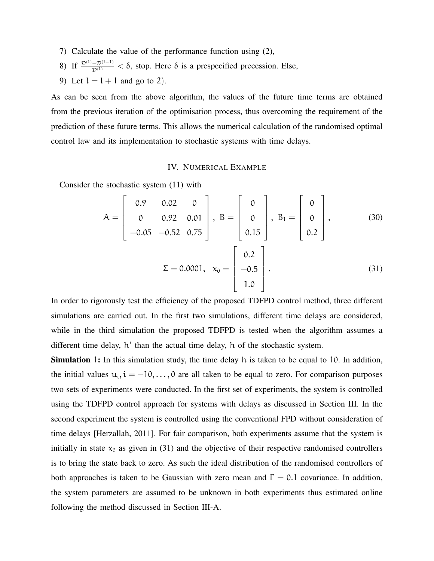- 7) Calculate the value of the performance function using (2),
- 8) If  $\frac{\mathcal{D}^{(1)} \mathcal{D}^{(1-1)}}{\mathcal{D}^{(1)}} < \delta$ , stop. Here δ is a prespecified precession. Else,
- 9) Let  $l = l + 1$  and go to 2).

As can be seen from the above algorithm, the values of the future time terms are obtained from the previous iteration of the optimisation process, thus overcoming the requirement of the prediction of these future terms. This allows the numerical calculation of the randomised optimal control law and its implementation to stochastic systems with time delays.

# IV. NUMERICAL EXAMPLE

Consider the stochastic system (11) with

$$
A = \begin{bmatrix} 0.9 & 0.02 & 0 \\ 0 & 0.92 & 0.01 \\ -0.05 & -0.52 & 0.75 \end{bmatrix}, B = \begin{bmatrix} 0 \\ 0 \\ 0.15 \end{bmatrix}, B_1 = \begin{bmatrix} 0 \\ 0 \\ 0.2 \end{bmatrix},
$$
(30)  

$$
\Sigma = 0.0001, x_0 = \begin{bmatrix} 0.2 \\ -0.5 \\ 1.0 \end{bmatrix}.
$$
(31)

In order to rigorously test the efficiency of the proposed TDFPD control method, three different simulations are carried out. In the first two simulations, different time delays are considered, while in the third simulation the proposed TDFPD is tested when the algorithm assumes a different time delay, h' than the actual time delay, h of the stochastic system.

Simulation 1: In this simulation study, the time delay h is taken to be equal to 10. In addition, the initial values  $u_i$ ,  $i = -10, \ldots, 0$  are all taken to be equal to zero. For comparison purposes two sets of experiments were conducted. In the first set of experiments, the system is controlled using the TDFPD control approach for systems with delays as discussed in Section III. In the second experiment the system is controlled using the conventional FPD without consideration of time delays [Herzallah, 2011]. For fair comparison, both experiments assume that the system is initially in state  $x_0$  as given in (31) and the objective of their respective randomised controllers is to bring the state back to zero. As such the ideal distribution of the randomised controllers of both approaches is taken to be Gaussian with zero mean and  $\Gamma = 0.1$  covariance. In addition, the system parameters are assumed to be unknown in both experiments thus estimated online following the method discussed in Section III-A.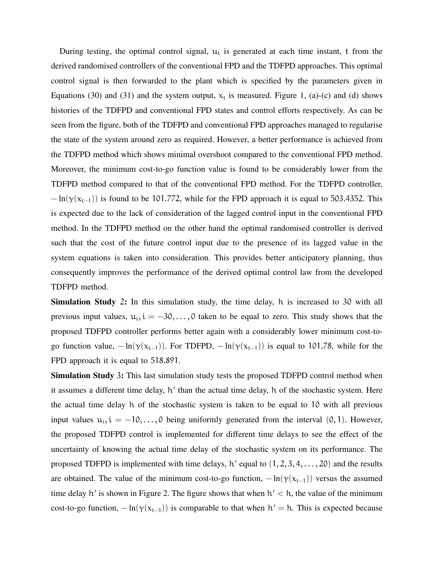During testing, the optimal control signal,  $u_t$  is generated at each time instant, t from the derived randomised controllers of the conventional FPD and the TDFPD approaches. This optimal control signal is then forwarded to the plant which is specified by the parameters given in Equations (30) and (31) and the system output,  $x_t$  is measured. Figure 1, (a)-(c) and (d) shows histories of the TDFPD and conventional FPD states and control efforts respectively. As can be seen from the figure, both of the TDFPD and conventional FPD approaches managed to regularise the state of the system around zero as required. However, a better performance is achieved from the TDFPD method which shows minimal overshoot compared to the conventional FPD method. Moreover, the minimum cost-to-go function value is found to be considerably lower from the TDFPD method compared to that of the conventional FPD method. For the TDFPD controller,  $-\ln(\gamma(x_{t-1}))$  is found to be 101.772, while for the FPD approach it is equal to 503.4352. This is expected due to the lack of consideration of the lagged control input in the conventional FPD method. In the TDFPD method on the other hand the optimal randomised controller is derived such that the cost of the future control input due to the presence of its lagged value in the system equations is taken into consideration. This provides better anticipatory planning, thus consequently improves the performance of the derived optimal control law from the developed TDFPD method.

Simulation Study 2: In this simulation study, the time delay, h is increased to 30 with all previous input values,  $u_i$ ,  $i = -30, \ldots, 0$  taken to be equal to zero. This study shows that the proposed TDFPD controller performs better again with a considerably lower minimum cost-togo function value,  $-\ln(\gamma(x_{t-1}))$ . For TDFPD,  $-\ln(\gamma(x_{t-1}))$  is equal to 101.78, while for the FPD approach it is equal to 518.891.

Simulation Study 3: This last simulation study tests the proposed TDFPD control method when it assumes a different time delay, h' than the actual time delay, h of the stochastic system. Here the actual time delay h of the stochastic system is taken to be equal to 10 with all previous input values  $u_i$ ,  $i = -10, \ldots, 0$  being uniformly generated from the interval  $(0, 1)$ . However, the proposed TDFPD control is implemented for different time delays to see the effect of the uncertainty of knowing the actual time delay of the stochastic system on its performance. The proposed TDFPD is implemented with time delays,  $h'$  equal to  $(1, 2, 3, 4, \ldots, 20)$  and the results are obtained. The value of the minimum cost-to-go function,  $-\ln(\gamma(x_{t-1}))$  versus the assumed time delay  $h'$  is shown in Figure 2. The figure shows that when  $h' < h$ , the value of the minimum cost-to-go function,  $-\ln(\gamma(x_{t-1}))$  is comparable to that when  $h' = h$ . This is expected because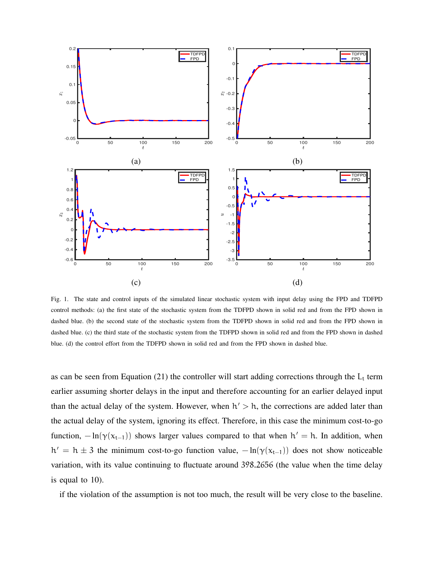

Fig. 1. The state and control inputs of the simulated linear stochastic system with input delay using the FPD and TDFPD control methods: (a) the first state of the stochastic system from the TDFPD shown in solid red and from the FPD shown in dashed blue. (b) the second state of the stochastic system from the TDFPD shown in solid red and from the FPD shown in dashed blue. (c) the third state of the stochastic system from the TDFPD shown in solid red and from the FPD shown in dashed blue. (d) the control effort from the TDFPD shown in solid red and from the FPD shown in dashed blue.

as can be seen from Equation (21) the controller will start adding corrections through the  $L_t$  term earlier assuming shorter delays in the input and therefore accounting for an earlier delayed input than the actual delay of the system. However, when  $h' > h$ , the corrections are added later than the actual delay of the system, ignoring its effect. Therefore, in this case the minimum cost-to-go function,  $-\ln(\gamma(x_{t-1}))$  shows larger values compared to that when  $h' = h$ . In addition, when  $h' = h \pm 3$  the minimum cost-to-go function value,  $-h(\gamma(x_{t-1}))$  does not show noticeable variation, with its value continuing to fluctuate around 398.2656 (the value when the time delay is equal to 10).

if the violation of the assumption is not too much, the result will be very close to the baseline.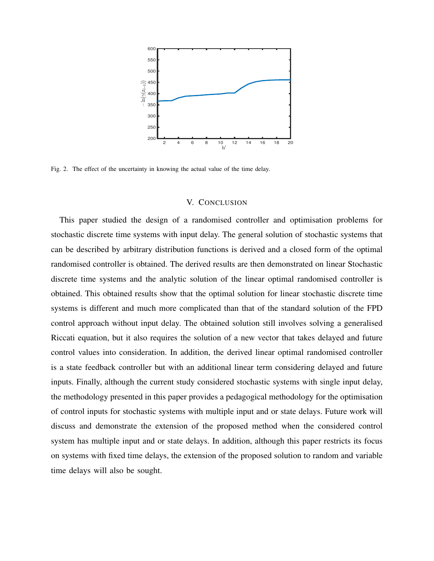

Fig. 2. The effect of the uncertainty in knowing the actual value of the time delay.

# V. CONCLUSION

This paper studied the design of a randomised controller and optimisation problems for stochastic discrete time systems with input delay. The general solution of stochastic systems that can be described by arbitrary distribution functions is derived and a closed form of the optimal randomised controller is obtained. The derived results are then demonstrated on linear Stochastic discrete time systems and the analytic solution of the linear optimal randomised controller is obtained. This obtained results show that the optimal solution for linear stochastic discrete time systems is different and much more complicated than that of the standard solution of the FPD control approach without input delay. The obtained solution still involves solving a generalised Riccati equation, but it also requires the solution of a new vector that takes delayed and future control values into consideration. In addition, the derived linear optimal randomised controller is a state feedback controller but with an additional linear term considering delayed and future inputs. Finally, although the current study considered stochastic systems with single input delay, the methodology presented in this paper provides a pedagogical methodology for the optimisation of control inputs for stochastic systems with multiple input and or state delays. Future work will discuss and demonstrate the extension of the proposed method when the considered control system has multiple input and or state delays. In addition, although this paper restricts its focus on systems with fixed time delays, the extension of the proposed solution to random and variable time delays will also be sought.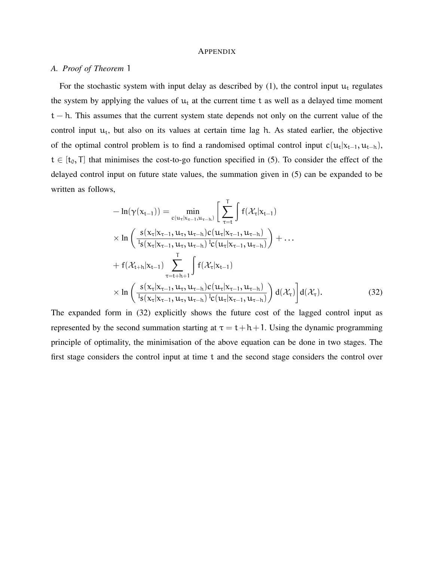## **APPENDIX**

# *A. Proof of Theorem* 1

For the stochastic system with input delay as described by  $(1)$ , the control input  $u_t$  regulates the system by applying the values of  $u_t$  at the current time t as well as a delayed time moment  $t - h$ . This assumes that the current system state depends not only on the current value of the control input  $u_t$ , but also on its values at certain time lag h. As stated earlier, the objective of the optimal control problem is to find a randomised optimal control input  $c(u_t|x_{t-1}, u_{t-h})$ ,  $t \in [t_0, T]$  that minimises the cost-to-go function specified in (5). To consider the effect of the delayed control input on future state values, the summation given in (5) can be expanded to be written as follows,

$$
- \ln(\gamma(x_{t-1})) = \min_{c(u_{\tau}|x_{\tau-1}, u_{\tau-h})} \left[ \sum_{\tau=t}^{T} \int f(\mathcal{X}_{\tau}|x_{t-1})
$$
  
\n
$$
\times \ln \left( \frac{s(x_{\tau}|x_{\tau-1}, u_{\tau}, u_{\tau-h})c(u_{\tau}|x_{\tau-1}, u_{\tau-h})}{s(x_{\tau}|x_{\tau-1}, u_{\tau}, u_{\tau-h})c(u_{\tau}|x_{\tau-1}, u_{\tau-h})} \right) + ...
$$
  
\n
$$
+ f(\mathcal{X}_{t+h}|x_{t-1}) \sum_{\tau=t+h+1}^{T} \int f(\mathcal{X}_{\tau}|x_{t-1})
$$
  
\n
$$
\times \ln \left( \frac{s(x_{\tau}|x_{\tau-1}, u_{\tau}, u_{\tau-h})c(u_{\tau}|x_{\tau-1}, u_{\tau-h})}{s(x_{\tau}|x_{\tau-1}, u_{\tau,h})c(u_{\tau}|x_{\tau-1}, u_{\tau-h})} \right) d(\mathcal{X}_{\tau}) d(\mathcal{X}_{\tau}). \tag{32}
$$

The expanded form in (32) explicitly shows the future cost of the lagged control input as represented by the second summation starting at  $\tau = t + h + 1$ . Using the dynamic programming principle of optimality, the minimisation of the above equation can be done in two stages. The first stage considers the control input at time t and the second stage considers the control over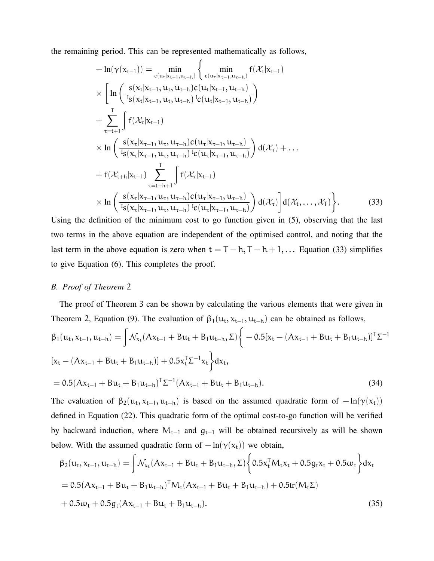the remaining period. This can be represented mathematically as follows,

$$
-\ln(\gamma(x_{t-1})) = \min_{c(u_{t}|x_{t-1},u_{t-h})} \left\{ \min_{c(u_{\tau}|x_{\tau-1},u_{\tau-h})} f(\mathcal{X}_{t}|x_{t-1})
$$
  
\n
$$
\times \left[ \ln \left( \frac{s(x_{t}|x_{t-1},u_{t},u_{t-h})c(u_{t}|x_{t-1},u_{t-h})}{I_{s}(x_{t}|x_{t-1},u_{t},u_{t-h})I_{c}(u_{t}|x_{t-1},u_{t-h})} \right) \right.\n+ \sum_{\tau=t+1}^{T} \int f(\mathcal{X}_{\tau}|x_{\tau-1},u_{\tau},u_{\tau-h})c(u_{\tau}|x_{\tau-1},u_{\tau-h}) \right) d(\mathcal{X}_{\tau}) + \dots
$$
  
\n
$$
\times \ln \left( \frac{s(x_{\tau}|x_{\tau-1},u_{\tau},u_{\tau-h})c(u_{\tau}|x_{\tau-1},u_{\tau-h})}{I_{s}(x_{\tau}|x_{\tau-1},u_{\tau,h})I_{c}(u_{\tau}|x_{\tau-1},u_{\tau-h})} \right) d(\mathcal{X}_{\tau}) + \dots
$$
  
\n+  $f(\mathcal{X}_{t+h}|x_{t-1}) \sum_{\tau=t+h+1}^{T} \int f(\mathcal{X}_{\tau}|x_{t-1})$   
\n
$$
\times \ln \left( \frac{s(x_{\tau}|x_{\tau-1},u_{\tau},u_{\tau-h})c(u_{\tau}|x_{\tau-1},u_{\tau-h})}{I_{s}(x_{\tau}|x_{\tau-1},u_{\tau,h})I_{c}(u_{\tau}|x_{\tau-1},u_{\tau-h})} d(\mathcal{X}_{\tau}) \right] d(\mathcal{X}_{\tau},\mathcal{X}_{\tau}) \right\}.
$$
(33)

Using the definition of the minimum cost to go function given in (5), observing that the last two terms in the above equation are independent of the optimised control, and noting that the last term in the above equation is zero when  $t = T - h$ ,  $T - h + 1$ , ... Equation (33) simplifies to give Equation (6). This completes the proof.

## *B. Proof of Theorem* 2

The proof of Theorem 3 can be shown by calculating the various elements that were given in Theorem 2, Equation (9). The evaluation of  $\beta_1(u_t, x_{t-1}, u_{t-h})$  can be obtained as follows,

$$
\beta_1(u_t, x_{t-1}, u_{t-h}) = \int \mathcal{N}_{x_t}(Ax_{t-1} + Bu_t + B_1u_{t-h}, \Sigma) \Big\{-0.5[x_t - (Ax_{t-1} + Bu_t + B_1u_{t-h})]^T \Sigma^{-1}\Big\}
$$
  
\n
$$
[x_t - (Ax_{t-1} + Bu_t + B_1u_{t-h})] + 0.5x_t^T \Sigma^{-1} x_t \Big\} dx_t,
$$
  
\n
$$
= 0.5(Ax_{t-1} + Bu_t + B_1u_{t-h})^T \Sigma^{-1} (Ax_{t-1} + Bu_t + B_1u_{t-h}). \tag{34}
$$

The evaluation of  $\beta_2(\mu_t, x_{t-1}, \mu_{t-h})$  is based on the assumed quadratic form of  $-\ln(\gamma(x_t))$ defined in Equation (22). This quadratic form of the optimal cost-to-go function will be verified by backward induction, where  $M_{t-1}$  and  $g_{t-1}$  will be obtained recursively as will be shown below. With the assumed quadratic form of  $-\ln(\gamma(x_t))$  we obtain,

$$
\beta_2(u_t, x_{t-1}, u_{t-h}) = \int \mathcal{N}_{x_t}(Ax_{t-1} + Bu_t + B_1u_{t-h}, \Sigma) \left\{ 0.5x_t^T M_t x_t + 0.5g_t x_t + 0.5\omega_t \right\} dx_t
$$
  
= 0.5 $(Ax_{t-1} + Bu_t + B_1u_{t-h})^T M_t (Ax_{t-1} + Bu_t + B_1u_{t-h}) + 0.5tr(M_t\Sigma)$   
+ 0.5 $\omega_t + 0.5g_t (Ax_{t-1} + Bu_t + B_1u_{t-h}).$  (35)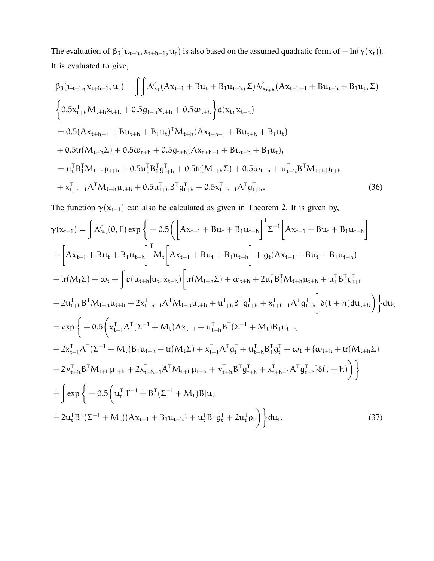The evaluation of  $\beta_3(u_{t+h}, x_{t+h-1}, u_t)$  is also based on the assumed quadratic form of  $-\ln(\gamma(x_t))$ . It is evaluated to give,

$$
\beta_{3}(u_{t+h}, x_{t+h-1}, u_{t}) = \iint \mathcal{N}_{x_{t}}(Ax_{t-1} + Bu_{t} + B_{1}u_{t-h}, \Sigma) \mathcal{N}_{x_{t+h}}(Ax_{t+h-1} + Bu_{t+h} + B_{1}u_{t}, \Sigma)
$$
\n
$$
\begin{cases}\n0.5x_{t+h}^{T}M_{t+h}x_{t+h} + 0.5g_{t+h}x_{t+h} + 0.5\omega_{t+h}\right\}d(x_{t}, x_{t+h}) \\
= 0.5(Ax_{t+h-1} + Bu_{t+h} + B_{1}u_{t})^{T}M_{t+h}(Ax_{t+h-1} + Bu_{t+h} + B_{1}u_{t}) \\
+ 0.5tr(M_{t+h}\Sigma) + 0.5\omega_{t+h} + 0.5g_{t+h}(Ax_{t+h-1} + Bu_{t+h} + B_{1}u_{t}), \\
= u_{t}^{T}B_{1}^{T}M_{t+h}\mu_{t+h} + 0.5u_{t}^{T}B_{1}^{T}g_{t+h}^{T} + 0.5tr(M_{t+h}\Sigma) + 0.5\omega_{t+h} + u_{t+h}^{T}B^{T}M_{t+h}\mu_{t+h} + x_{t+h-1}^{T}A^{T}M_{t+h}\mu_{t+h} + 0.5u_{t+h}^{T}B_{1}^{T}g_{t+h}^{T} + 0.5x_{t+h-1}^{T}A^{T}g_{t+h}^{T}.\n\end{cases}
$$
\n(36)

The function  $\gamma(x_{t-1})$  can also be calculated as given in Theorem 2. It is given by,

$$
\gamma(x_{t-1}) = \int \mathcal{N}_{u_t}(0, \Gamma) \exp \left\{-0.5 \left( \left[ Ax_{t-1} + Bu_t + B_1 u_{t-h} \right]^T \Sigma^{-1} \left[ Ax_{t-1} + Bu_t + B_1 u_{t-h} \right] \right] \right\}+ \left[ Ax_{t-1} + Bu_t + B_1 u_{t-h} \right]^T M_t \left[ Ax_{t-1} + Bu_t + B_1 u_{t-h} \right] + g_t (Ax_{t-1} + Bu_t + B_1 u_{t-h}) + tr(M_t \Sigma) + \omega_t + \int c(u_{t+h} |u_t, x_{t+h}) \left[ tr(M_{t+h} \Sigma) + \omega_{t+h} + 2u_t^T B_1^T M_{t+h} \mu_{t+h} + u_t^T B_1^T g_{t+h}^T \right. + 2u_{t+h}^T B^T M_{t+h} \mu_{t+h} + 2x_{t+h-1}^T A^T M_{t+h} \mu_{t+h} + u_{t+h}^T B^T g_{t+h}^T + x_{t+h-1}^T A^T g_{t+h}^T \right] \delta(t+h) du_{t+h} \Big) \Big\} du_t = \exp \left\{-0.5 \left( x_{t-1}^T A^T (\Sigma^{-1} + M_t) A x_{t-1} + u_{t-h}^T B_1^T (\Sigma^{-1} + M_t) B_1 u_{t-h} \right. + 2x_{t-1}^T A^T (\Sigma^{-1} + M_t) B_1 u_{t-h} + tr(M_t \Sigma) + x_{t-1}^T A^T g_t^T + u_{t-h}^T B_1^T g_t^T + \omega_t + \{\omega_{t+h} + tr(M_{t+h} \Sigma) \right. + 2v_{t+h}^T B^T M_{t+h} \bar{\mu}_{t+h} + 2x_{t+h-1}^T A^T M_{t+h} \bar{\mu}_{t+h} + v_{t+h}^T B^T g_{t+h}^T + x_{t+h-1}^T A^T g_{t+h}^T) \delta(t+h) \Big) \Big\} + \int \exp \left\{-0.5 \left( u_t^T [\Gamma^{-1} + B^T (\Sigma^{-1} + M_t) B] u_t \right. + 2u_t^T B^T (\Sigma^{-1} + M_t) (Ax_{t-1} + B_1 u_{t-h}) + u_t^T B^T g_t^T + 2u_t^T
$$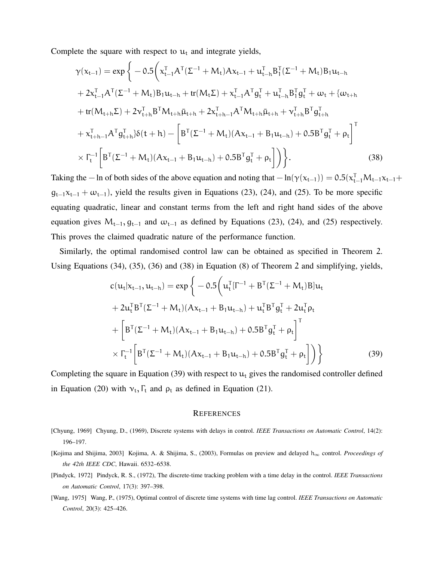Complete the square with respect to  $u_t$  and integrate yields,

$$
\gamma(x_{t-1}) = \exp\left\{-0.5\left(x_{t-1}^{T}A^{T}(\Sigma^{-1}+M_{t})Ax_{t-1}+u_{t-h}^{T}B_{1}^{T}(\Sigma^{-1}+M_{t})B_{1}u_{t-h} + 2x_{t-1}^{T}A^{T}(\Sigma^{-1}+M_{t})B_{1}u_{t-h}+tr(M_{t}\Sigma)+x_{t-1}^{T}A^{T}g_{t}^{T}+u_{t-h}^{T}B_{1}^{T}g_{t}^{T}+\omega_{t}+\{\omega_{t+h}\}+tr(M_{t+h}\Sigma)+2v_{t+h}^{T}B^{T}M_{t+h}\bar{\mu}_{t+h}+2x_{t+h-1}^{T}A^{T}M_{t+h}\bar{\mu}_{t+h}+v_{t+h}^{T}B^{T}g_{t+h}^{T} + x_{t+h-1}^{T}A^{T}g_{t+h}^{T}\delta(t+h)-\left[B^{T}(\Sigma^{-1}+M_{t})(Ax_{t-1}+B_{1}u_{t-h})+0.5B^{T}g_{t}^{T}+\rho_{t}\right]^{T} \times\Gamma_{t}^{-1}\left[B^{T}(\Sigma^{-1}+M_{t})(Ax_{t-1}+B_{1}u_{t-h})+0.5B^{T}g_{t}^{T}+\rho_{t}\right]\right)\}.
$$
\n(38)

Taking the − ln of both sides of the above equation and noting that  $-\ln(\gamma(x_{t-1})) = 0.5(x_{t-1}^T M_{t-1}x_{t-1}+)$  $g_{t-1}x_{t-1} + \omega_{t-1}$ , yield the results given in Equations (23), (24), and (25). To be more specific equating quadratic, linear and constant terms from the left and right hand sides of the above equation gives  $M_{t-1}$ ,  $g_{t-1}$  and  $\omega_{t-1}$  as defined by Equations (23), (24), and (25) respectively. This proves the claimed quadratic nature of the performance function.

Similarly, the optimal randomised control law can be obtained as specified in Theorem 2. Using Equations (34), (35), (36) and (38) in Equation (8) of Theorem 2 and simplifying, yields,

$$
c(u_t|x_{t-1}, u_{t-h}) = \exp\left\{-0.5\left(u_t^T[\Gamma^{-1} + B^T(\Sigma^{-1} + M_t)B]u_t + 2u_t^TB^T(\Sigma^{-1} + M_t)(Ax_{t-1} + B_1u_{t-h}) + u_t^TB^Tg_t^T + 2u_t^T\rho_t + \left[B^T(\Sigma^{-1} + M_t)(Ax_{t-1} + B_1u_{t-h}) + 0.5B^Tg_t^T + \rho_t\right]^T\right\}\n\times \Gamma_t^{-1}\left[B^T(\Sigma^{-1} + M_t)(Ax_{t-1} + B_1u_{t-h}) + 0.5B^Tg_t^T + \rho_t\right]\right)\n\tag{39}
$$

Completing the square in Equation (39) with respect to  $u_t$  gives the randomised controller defined in Equation (20) with  $v_t$ ,  $\Gamma_t$  and  $\rho_t$  as defined in Equation (21).

### **REFERENCES**

- [Chyung, 1969] Chyung, D., (1969), Discrete systems with delays in control. *IEEE Transactions on Automatic Control*, 14(2): 196–197.
- [Kojima and Shijima, 2003] Kojima, A. & Shijima, S., (2003), Formulas on preview and delayed h<sup>∞</sup> control. *Proceedings of the 42th IEEE CDC*, Hawaii. 6532–6538.
- [Pindyck, 1972] Pindyck, R. S., (1972), The discrete-time tracking problem with a time delay in the control. *IEEE Transactions on Automatic Control*, 17(3): 397–398.
- [Wang, 1975] Wang, P., (1975), Optimal control of discrete time systems with time lag control. *IEEE Transactions on Automatic Control*, 20(3): 425–426.